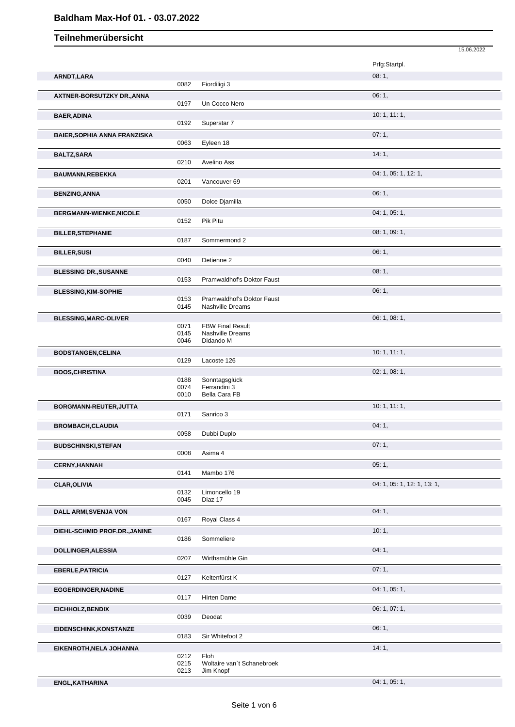### **Baldham Max-Hof 01. - 03.07.2022**

#### 15.06.2022 **Teilnehmerübersicht** Prfg:Startpl. **ARNDT,LARA** 08: 1, 0082 Fiordiligi 3 **AXTNER-BORSUTZKY DR.,ANNA** 06: 1, 0197 Un Cocco Nero **BAER,ADINA** 10: 1, 11: 1, 0192 Superstar 7 **BAIER,SOPHIA ANNA FRANZISKA 07: 1,** 07: 1, 07: 1, 07: 1, 07: 1, 07: 1, 07: 1, 07: 1, 07: 1, 07: 1, 07: 1, 07: 1, 07: 1, 07: 1, 07: 1, 07: 1, 07: 1, 07: 1, 07: 1, 07: 1, 07: 1, 07: 1, 07: 1, 07: 1, 07: 1, 07: 1, 07: 1, 0 0063 Eyleen 18 **BALTZ,SARA** 14: 1, 2010 Avelino Ass Avelino Ass **BAUMANN,REBEKKA** 0201 Vancouver 69 0201 0201 04: 1, 05: 1, 12: 1, Vancouver 69 **BENZING,ANNA** 06: 1, Dolce Djamilla **BERGMANN-WIENKE, NICOLE** 0152 Pik Pitu Pik Pitu **BILLER, STEPHANIE** 08: 1, 09: 1, 09: 1, 09: 1, 09: 1, 09: 1, 09: 1, 09: 1, 09: 1, 09: 1, 09: 1, 09: 1, 09: 1, 09: 1, 09: 1, 09: 1, 09: 1, 09: 1, 09: 1, 09: 1, 09: 1, 09: 1, 09: 1, 09: 1, 09: 1, 09: 1, 09: 1, 09: 1, 09: 1, Sommermond 2 **BILLER,SUSI** 06: 1, 0040 Detienne 2 **BLESSING DR.,SUSANNE** 08: 1, 08: 1, 08: 1, 08: 1, 08: 1, 08: 1, 08: 1, 08: 1, 08: 1, 08: 1, 08: 1, 08: 1, 08: 1, 08: 1, 08: 1, 08: 1, 08: 1, 08: 1, 08: 1, 08: 1, 08: 1, 08: 1, 08: 1, 08: 1, 08: 1, 08: 1, 08: 1, 08: 1, 08: 0153 Pramwaldhof's Doktor Faust **BLESSING, KIM-SOPHIE** 06: 1, 0153 Pramwaldhof's Doktor Faust 06: 1, 06: 1, 0153 Pramwaldhof's Doktor Faust<br>0145 Nashville Dreams 0145 Nashville Dreams **BLESSING, MARC-OLIVER 06: 1, 08: 1,** 06: 1, 08: 1, 08: 1, 08: 1, 08: 1, 08: 1, 08: 1, 08: 1, 08: 1, 08: 1, 08: 1, 08: 1, 08: 1, 08: 1, 08: 1, 08: 1, 08: 1, 08: 1, 08: 1, 08: 1, 08: 1, 08: 1, 08: 1, 08: 1, 08: 1, 08: 1, 0071 FBW Final Result 0145 Nashville Dreams<br>0046 Didando M Didando M **BODSTANGEN,CELINA** 10: 1, 11: 1, 0129 Lacoste 126 **BOOS,CHRISTINA** 02: 1, 08: 1, 0188 Sonntagsglück<br>0074 Ferrandini 3 Ferrandini 3 0010 Bella Cara FB **BORGMANN-REUTER,JUTTA** 10: 1, 11: 1, Sanrico 3 **BROMBACH,CLAUDIA** 04: 1, 0058 Dubbi Duplo<br>
04: 1, 0058 Dubbi Duplo Dubbi Duplo **BUDSCHINSKI,STEFAN** 07: 1, 0008 Asima 4 Asima 4 **CERNY,HANNAH** 05: 1, Mambo 176 **CLAR,OLIVIA** 04: 1, 05: 1, 12: 1, 13: 1, 05: 1, 12: 1, 13: 1, 05: 1, 12: 1, 13: 1, 05: 1, 13: 1, 05: 1, 13: 1, 0132 Limoncello 19<br>0045 Diaz 17 Diaz 17 **DALL ARMI,SVENJA VON** 04: 1, 0167 Roval Class 4 Royal Class 4 **DIEHL-SCHMID PROF.DR.,JANINE** 10: 1, Sommeliere **DOLLINGER, ALESSIA** 04: 1, 0207 Wirthsmühle Gin Wirthsmühle Gin **EBERLE, PATRICIA** 07: 1, 0127 Keltenfürst K<br>
07: 1, 0127 Keltenfürst K 0127 Keltenfürst K **EGGERDINGER, NADINE** 04: 1, 05: 1, 05: 1, 05: 1, 05: 1, 05: 1, 05: 1, 05: 1, 05: 1, 05: 1, 05: 1, 05: 1, 05: 1, 05: 1, 05: 1, 05: 1, 05: 1, 05: 1, 05: 1, 05: 1, 05: 1, 05: 1, 05: 1, 05: 1, 05: 1, 05: 1, 05: 1, 05: 1, 05: Hirten Dame **EICHHOLZ,BENDIX** 06: 1, 07: 1,

**ENGL,KATHARINA** 04: 1, 05: 1,

0039 Deodat

0212 Floh

**EIDENSCHINK,KONSTANZE** 06: 1, 0183 Sir Whitefoot 2 **EIKENROTH,NELA JOHANNA** 14: 1, 2007, 2008, 2008, 2008, 2008, 2008, 2008, 2008, 2008, 2008, 2008, 2008, 2008, 200

> 0215 Woltaire van't Schanebroek<br>0213 Jim Knopf Jim Knopf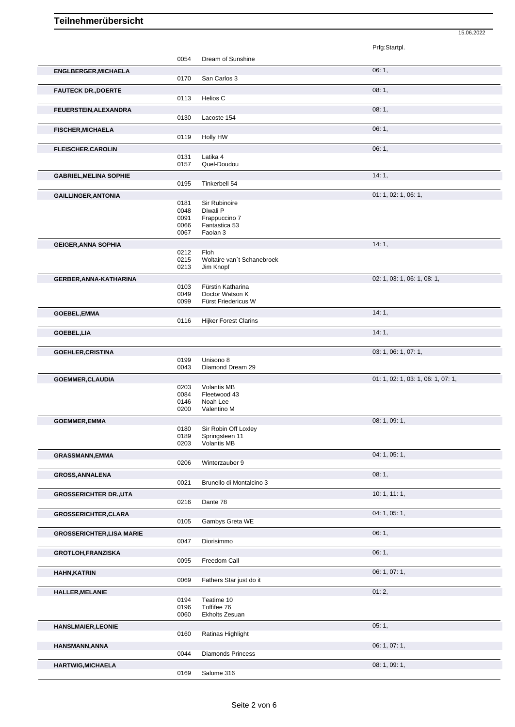|                                  |              |                                         | Prfg:Startpl.                      |
|----------------------------------|--------------|-----------------------------------------|------------------------------------|
|                                  | 0054         | Dream of Sunshine                       |                                    |
| <b>ENGLBERGER, MICHAELA</b>      |              |                                         | 06:1,                              |
|                                  | 0170         | San Carlos 3                            |                                    |
| <b>FAUTECK DR., DOERTE</b>       |              |                                         | 08:1,                              |
|                                  | 0113         | Helios C                                |                                    |
| <b>FEUERSTEIN, ALEXANDRA</b>     |              |                                         | 08:1,                              |
|                                  | 0130         | Lacoste 154                             |                                    |
| <b>FISCHER, MICHAELA</b>         |              |                                         | 06:1,                              |
|                                  | 0119         | Holly HW                                |                                    |
| <b>FLEISCHER, CAROLIN</b>        |              |                                         | 06:1,                              |
|                                  | 0131<br>0157 | Latika 4<br>Quel-Doudou                 |                                    |
|                                  |              |                                         |                                    |
| <b>GABRIEL, MELINA SOPHIE</b>    | 0195         | Tinkerbell 54                           | 14:1,                              |
| <b>GAILLINGER, ANTONIA</b>       |              |                                         | 01: 1, 02: 1, 06: 1,               |
|                                  | 0181         | Sir Rubinoire                           |                                    |
|                                  | 0048         | Diwali P                                |                                    |
|                                  | 0091<br>0066 | Frappuccino 7<br>Fantastica 53          |                                    |
|                                  | 0067         | Faolan 3                                |                                    |
| <b>GEIGER, ANNA SOPHIA</b>       |              |                                         | 14:1,                              |
|                                  | 0212         | Floh                                    |                                    |
|                                  | 0215<br>0213 | Woltaire van't Schanebroek<br>Jim Knopf |                                    |
|                                  |              |                                         |                                    |
| GERBER, ANNA-KATHARINA           | 0103         | Fürstin Katharina                       | 02: 1, 03: 1, 06: 1, 08: 1,        |
|                                  | 0049         | Doctor Watson K                         |                                    |
|                                  | 0099         | Fürst Friedericus W                     |                                    |
| GOEBEL, EMMA                     |              |                                         | 14:1,                              |
|                                  | 0116         | <b>Hijker Forest Clarins</b>            |                                    |
| GOEBEL, LIA                      |              |                                         | 14:1,                              |
|                                  |              |                                         | 03: 1, 06: 1, 07: 1,               |
| <b>GOEHLER, CRISTINA</b>         | 0199         | Unisono 8                               |                                    |
|                                  | 0043         | Diamond Dream 29                        |                                    |
| <b>GOEMMER, CLAUDIA</b>          |              |                                         | 01: 1, 02: 1, 03: 1, 06: 1, 07: 1, |
|                                  | 0203<br>0084 | <b>Volantis MB</b><br>Fleetwood 43      |                                    |
|                                  | 0146         | Noah Lee                                |                                    |
|                                  | 0200         | Valentino M                             |                                    |
| <b>GOEMMER, EMMA</b>             |              |                                         | 08: 1, 09: 1,                      |
|                                  | 0180<br>0189 | Sir Robin Off Loxley<br>Springsteen 11  |                                    |
|                                  | 0203         | Volantis MB                             |                                    |
| <b>GRASSMANN, EMMA</b>           |              |                                         | 04: 1, 05: 1,                      |
|                                  | 0206         | Winterzauber 9                          |                                    |
| <b>GROSS, ANNALENA</b>           |              |                                         | 08:1,                              |
|                                  | 0021         | Brunello di Montalcino 3                |                                    |
| <b>GROSSERICHTER DR., UTA</b>    |              |                                         | 10:1, 11:1,                        |
|                                  | 0216         | Dante 78                                |                                    |
| <b>GROSSERICHTER, CLARA</b>      |              |                                         | 04: 1, 05: 1,                      |
|                                  | 0105         | Gambys Greta WE                         |                                    |
| <b>GROSSERICHTER, LISA MARIE</b> |              |                                         | 06:1,                              |
|                                  | 0047         | Diorisimmo                              |                                    |
| <b>GROTLOH,FRANZISKA</b>         | 0095         | Freedom Call                            | 06:1,                              |
|                                  |              |                                         | 06: 1, 07: 1,                      |
| <b>HAHN, KATRIN</b>              | 0069         | Fathers Star just do it                 |                                    |
| <b>HALLER, MELANIE</b>           |              |                                         | 01:2,                              |
|                                  | 0194         | Teatime 10                              |                                    |
|                                  | 0196         | Toffifee 76                             |                                    |
|                                  | 0060         | Ekholts Zesuan                          |                                    |
| <b>HANSLMAIER, LEONIE</b>        |              |                                         | 05:1,                              |
|                                  | 0160         | Ratinas Highlight                       |                                    |
| HANSMANN, ANNA                   | 0044         | <b>Diamonds Princess</b>                | 06: 1, 07: 1,                      |
|                                  |              |                                         | 08: 1, 09: 1,                      |
| <b>HARTWIG, MICHAELA</b>         | 0169         | Salome 316                              |                                    |
|                                  |              |                                         |                                    |

15.06.2022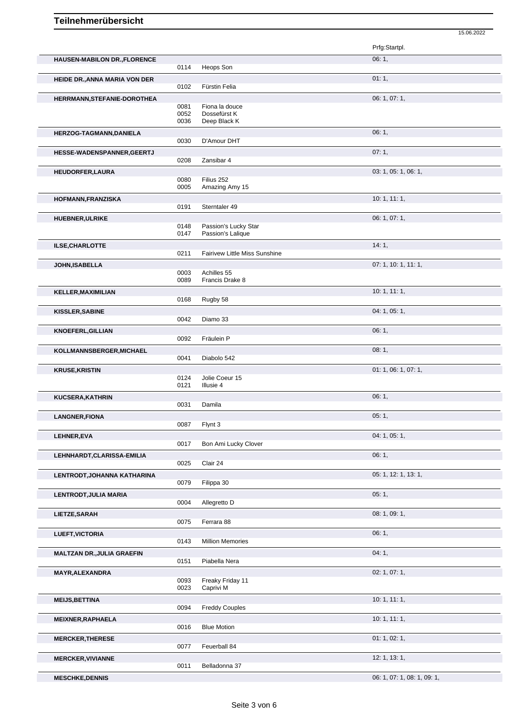|                                      |              |                                           | 15.06.2022                  |
|--------------------------------------|--------------|-------------------------------------------|-----------------------------|
|                                      |              |                                           | Prfg:Startpl.               |
| <b>HAUSEN-MABILON DR., FLORENCE</b>  | 0114         |                                           | 06:1,                       |
| <b>HEIDE DR., ANNA MARIA VON DER</b> |              | Heops Son                                 | 01:1,                       |
|                                      | 0102         | Fürstin Felia                             |                             |
| HERRMANN, STEFANIE-DOROTHEA          |              |                                           | 06: 1, 07: 1,               |
|                                      | 0081<br>0052 | Fiona la douce<br>Dossefürst K            |                             |
|                                      | 0036         | Deep Black K                              |                             |
| HERZOG-TAGMANN, DANIELA              |              |                                           | 06:1,                       |
|                                      | 0030         | D'Amour DHT                               |                             |
| HESSE-WADENSPANNER, GEERTJ           |              |                                           | 07:1,                       |
|                                      | 0208         | Zansibar 4                                |                             |
| HEUDORFER, LAURA                     | 0080         | Filius 252                                | 03: 1, 05: 1, 06: 1,        |
|                                      | 0005         | Amazing Amy 15                            |                             |
| HOFMANN, FRANZISKA                   |              |                                           | 10: 1, 11: 1,               |
|                                      | 0191         | Sterntaler 49                             |                             |
| <b>HUEBNER, ULRIKE</b>               |              |                                           | 06: 1, 07: 1,               |
|                                      | 0148<br>0147 | Passion's Lucky Star<br>Passion's Lalique |                             |
|                                      |              |                                           | 14:1,                       |
| ILSE, CHARLOTTE                      | 0211         | Fairivew Little Miss Sunshine             |                             |
| JOHN, ISABELLA                       |              |                                           | 07: 1, 10: 1, 11: 1,        |
|                                      | 0003         | Achilles 55                               |                             |
|                                      | 0089         | Francis Drake 8                           |                             |
| <b>KELLER, MAXIMILIAN</b>            |              |                                           | 10: 1, 11: 1,               |
|                                      | 0168         | Rugby 58                                  |                             |
| KISSLER, SABINE                      | 0042         | Diamo 33                                  | 04: 1, 05: 1,               |
|                                      |              |                                           | 06:1,                       |
| <b>KNOEFERL, GILLIAN</b>             | 0092         | Fräulein P                                |                             |
| KOLLMANNSBERGER, MICHAEL             |              |                                           | 08:1,                       |
|                                      | 0041         | Diabolo 542                               |                             |
| <b>KRUSE, KRISTIN</b>                |              |                                           | 01: 1, 06: 1, 07: 1,        |
|                                      | 0124         | Jolie Coeur 15<br>Illusie 4               |                             |
|                                      | 0121         |                                           |                             |
| <b>KUCSERA, KATHRIN</b>              | 0031         | Damila                                    | 06:1,                       |
| <b>LANGNER, FIONA</b>                |              |                                           | 05:1,                       |
|                                      | 0087         | Flynt 3                                   |                             |
| LEHNER, EVA                          |              |                                           | 04: 1, 05: 1,               |
|                                      | 0017         | Bon Ami Lucky Clover                      |                             |
| LEHNHARDT, CLARISSA-EMILIA           |              |                                           | 06:1,                       |
|                                      | 0025         | Clair 24                                  |                             |
| LENTRODT, JOHANNA KATHARINA          |              |                                           | 05: 1, 12: 1, 13: 1,        |
|                                      | 0079         | Filippa 30                                |                             |
| LENTRODT, JULIA MARIA                | 0004         | Allegretto D                              | 05:1,                       |
| LIETZE, SARAH                        |              |                                           | 08: 1, 09: 1,               |
|                                      | 0075         | Ferrara 88                                |                             |
| <b>LUEFT, VICTORIA</b>               |              |                                           | 06:1,                       |
|                                      | 0143         | <b>Million Memories</b>                   |                             |
| <b>MALTZAN DR., JULIA GRAEFIN</b>    |              |                                           | 04:1,                       |
|                                      | 0151         | Piabella Nera                             |                             |
| MAYR, ALEXANDRA                      |              |                                           | 02: 1, 07: 1,               |
|                                      | 0093<br>0023 | Freaky Friday 11<br>Caprivi M             |                             |
| <b>MEIJS, BETTINA</b>                |              |                                           | 10:1, 11:1,                 |
|                                      | 0094         | <b>Freddy Couples</b>                     |                             |
| <b>MEIXNER, RAPHAELA</b>             |              |                                           | 10:1, 11:1,                 |
|                                      | 0016         | <b>Blue Motion</b>                        |                             |
| <b>MERCKER, THERESE</b>              |              |                                           | 01: 1, 02: 1,               |
|                                      | 0077         | Feuerball 84                              |                             |
| <b>MERCKER, VIVIANNE</b>             |              |                                           | 12: 1, 13: 1,               |
|                                      | 0011         | Belladonna 37                             |                             |
| <b>MESCHKE, DENNIS</b>               |              |                                           | 06: 1, 07: 1, 08: 1, 09: 1, |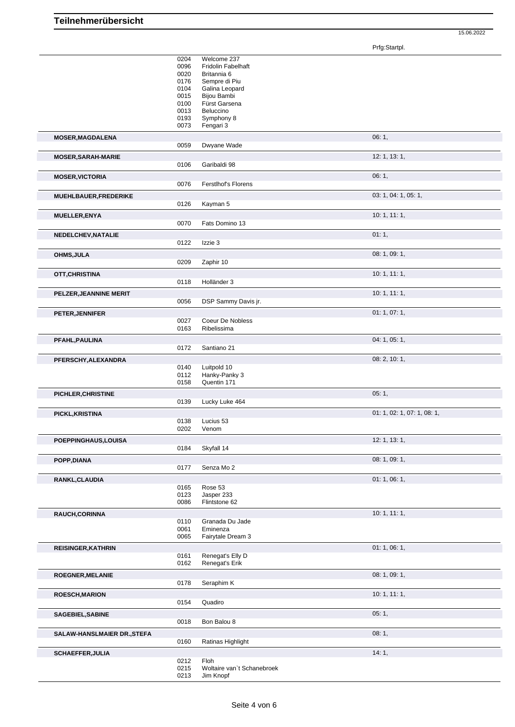Prfg:Startpl.

15.06.2022

|                             | 0204         | Welcome 237                             |                             |
|-----------------------------|--------------|-----------------------------------------|-----------------------------|
|                             | 0096         | Fridolin Fabelhaft                      |                             |
|                             | 0020         | Britannia 6                             |                             |
|                             | 0176         | Sempre di Piu                           |                             |
|                             | 0104         | Galina Leopard                          |                             |
|                             | 0015         | Bijou Bambi                             |                             |
|                             | 0100         | Fürst Garsena                           |                             |
|                             | 0013         | Beluccino                               |                             |
|                             | 0193         | Symphony 8                              |                             |
|                             | 0073         | Fengari 3                               |                             |
| <b>MOSER, MAGDALENA</b>     |              |                                         | 06:1,                       |
|                             | 0059         | Dwyane Wade                             |                             |
| <b>MOSER, SARAH-MARIE</b>   |              |                                         | 12: 1, 13: 1,               |
|                             | 0106         | Garibaldi 98                            |                             |
|                             |              |                                         |                             |
| <b>MOSER, VICTORIA</b>      |              |                                         | 06:1,                       |
|                             | 0076         | <b>Ferstlhof's Florens</b>              |                             |
| MUEHLBAUER, FREDERIKE       |              |                                         | 03: 1, 04: 1, 05: 1,        |
|                             | 0126         | Kayman 5                                |                             |
| MUELLER, ENYA               |              |                                         | 10: 1, 11: 1,               |
|                             | 0070         | Fats Domino 13                          |                             |
|                             |              |                                         |                             |
| NEDELCHEV, NATALIE          |              |                                         | 01:1,                       |
|                             | 0122         | Izzie 3                                 |                             |
| <b>OHMS, JULA</b>           |              |                                         | 08: 1, 09: 1,               |
|                             | 0209         | Zaphir 10                               |                             |
|                             |              |                                         |                             |
| OTT, CHRISTINA              |              |                                         | 10:1, 11:1,                 |
|                             | 0118         | Holländer 3                             |                             |
| PELZER, JEANNINE MERIT      |              |                                         | 10: 1, 11: 1,               |
|                             | 0056         | DSP Sammy Davis jr.                     |                             |
|                             |              |                                         |                             |
| <b>PETER, JENNIFER</b>      |              |                                         | 01:1,07:1,                  |
|                             | 0027         | Coeur De Nobless                        |                             |
|                             | 0163         | Ribelissima                             |                             |
| PFAHL, PAULINA              |              |                                         | 04: 1, 05: 1,               |
|                             | 0172         | Santiano 21                             |                             |
| PFERSCHY, ALEXANDRA         |              |                                         | 08: 2, 10: 1,               |
|                             | 0140         | Luitpold 10                             |                             |
|                             | 0112         | Hanky-Panky 3                           |                             |
|                             | 0158         | Quentin 171                             |                             |
|                             |              |                                         | 05:1,                       |
|                             |              |                                         |                             |
| PICHLER, CHRISTINE          |              |                                         |                             |
|                             | 0139         | Lucky Luke 464                          |                             |
| PICKL, KRISTINA             |              |                                         | 01: 1, 02: 1, 07: 1, 08: 1, |
|                             | 0138         | Lucius 53                               |                             |
|                             | 0202         | Venom                                   |                             |
|                             |              |                                         |                             |
| POEPPINGHAUS, LOUISA        |              |                                         | 12: 1, 13: 1,               |
|                             | 0184         | Skyfall 14                              |                             |
| POPP, DIANA                 |              |                                         | 08: 1, 09: 1,               |
|                             | 0177         | Senza Mo 2                              |                             |
| RANKL, CLAUDIA              |              |                                         | 01: 1, 06: 1,               |
|                             | 0165         | Rose 53                                 |                             |
|                             | 0123         | Jasper 233                              |                             |
|                             | 0086         | Flintstone 62                           |                             |
|                             |              |                                         |                             |
| RAUCH, CORINNA              | 0110         | Granada Du Jade                         | 10:1, 11:1,                 |
|                             | 0061         | Eminenza                                |                             |
|                             | 0065         | Fairytale Dream 3                       |                             |
|                             |              |                                         |                             |
| <b>REISINGER, KATHRIN</b>   |              |                                         | 01: 1, 06: 1,               |
|                             | 0161         | Renegat's Elly D                        |                             |
|                             | 0162         | Renegat's Erik                          |                             |
| ROEGNER, MELANIE            |              |                                         | 08: 1, 09: 1,               |
|                             | 0178         | Seraphim K                              |                             |
|                             |              |                                         |                             |
| <b>ROESCH, MARION</b>       |              |                                         | 10:1, 11:1,                 |
|                             | 0154         | Quadiro                                 |                             |
| SAGEBIEL, SABINE            |              |                                         | 05:1,                       |
|                             | 0018         | Bon Balou 8                             |                             |
|                             |              |                                         |                             |
| SALAW-HANSLMAIER DR., STEFA |              |                                         | 08:1,                       |
|                             | 0160         | Ratinas Highlight                       |                             |
| <b>SCHAEFFER, JULIA</b>     |              |                                         | 14:1,                       |
|                             | 0212         | Floh                                    |                             |
|                             | 0215<br>0213 | Woltaire van't Schanebroek<br>Jim Knopf |                             |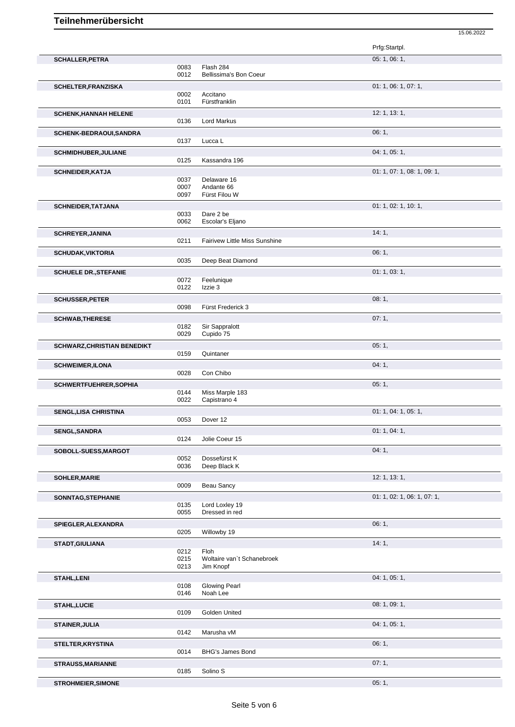|                                    |              |                                      | 15.06.2022                  |
|------------------------------------|--------------|--------------------------------------|-----------------------------|
|                                    |              |                                      | Prfg:Startpl.               |
| <b>SCHALLER, PETRA</b>             |              |                                      | 05: 1, 06: 1,               |
|                                    | 0083         | Flash 284                            |                             |
|                                    | 0012         | Bellissima's Bon Coeur               |                             |
| <b>SCHELTER, FRANZISKA</b>         |              |                                      | 01: 1, 06: 1, 07: 1,        |
|                                    | 0002         | Accitano                             |                             |
|                                    | 0101         | Fürstfranklin                        |                             |
| <b>SCHENK, HANNAH HELENE</b>       |              |                                      | 12: 1, 13: 1,               |
|                                    | 0136         | <b>Lord Markus</b>                   |                             |
| SCHENK-BEDRAOUI, SANDRA            |              |                                      | 06:1,                       |
|                                    | 0137         | Lucca L                              |                             |
| <b>SCHMIDHUBER, JULIANE</b>        |              |                                      | 04: 1, 05: 1,               |
|                                    | 0125         | Kassandra 196                        |                             |
| <b>SCHNEIDER, KATJA</b>            |              |                                      | 01: 1, 07: 1, 08: 1, 09: 1, |
|                                    | 0037<br>0007 | Delaware 16<br>Andante 66            |                             |
|                                    | 0097         | Fürst Filou W                        |                             |
|                                    |              |                                      | 01: 1, 02: 1, 10: 1,        |
| <b>SCHNEIDER, TATJANA</b>          | 0033         | Dare 2 be                            |                             |
|                                    | 0062         | Escolar's Eljano                     |                             |
| <b>SCHREYER, JANINA</b>            |              |                                      | 14:1,                       |
|                                    | 0211         | <b>Fairivew Little Miss Sunshine</b> |                             |
| <b>SCHUDAK, VIKTORIA</b>           |              |                                      | 06:1,                       |
|                                    | 0035         | Deep Beat Diamond                    |                             |
|                                    |              |                                      |                             |
| <b>SCHUELE DR., STEFANIE</b>       | 0072         | Feelunique                           | 01: 1, 03: 1,               |
|                                    | 0122         | Izzie 3                              |                             |
|                                    |              |                                      | 08:1,                       |
| <b>SCHUSSER, PETER</b>             | 0098         | Fürst Frederick 3                    |                             |
|                                    |              |                                      |                             |
| <b>SCHWAB, THERESE</b>             | 0182         | Sir Sappralott                       | 07:1,                       |
|                                    | 0029         | Cupido 75                            |                             |
|                                    |              |                                      | 05:1,                       |
| <b>SCHWARZ, CHRISTIAN BENEDIKT</b> | 0159         | Quintaner                            |                             |
|                                    |              |                                      |                             |
| <b>SCHWEIMER, ILONA</b>            | 0028         | Con Chibo                            | 04:1,                       |
|                                    |              |                                      |                             |
| <b>SCHWERTFUEHRER, SOPHIA</b>      | 0144         | Miss Marple 183                      | 05:1,                       |
|                                    | 0022         | Capistrano 4                         |                             |
| <b>SENGL, LISA CHRISTINA</b>       |              |                                      | 01: 1, 04: 1, 05: 1,        |
|                                    | 0053         | Dover 12                             |                             |
|                                    |              |                                      |                             |
| <b>SENGL, SANDRA</b>               | 0124         | Jolie Coeur 15                       | 01: 1, 04: 1,               |
|                                    |              |                                      |                             |
| SOBOLL-SUESS, MARGOT               |              | Dossefürst K                         | 04:1,                       |
|                                    | 0052<br>0036 | Deep Black K                         |                             |
|                                    |              |                                      | 12: 1, 13: 1,               |
| SOHLER, MARIE                      | 0009         | Beau Sancy                           |                             |
|                                    |              |                                      |                             |
| SONNTAG, STEPHANIE                 | 0135         | Lord Loxley 19                       | 01: 1, 02: 1, 06: 1, 07: 1, |
|                                    | 0055         | Dressed in red                       |                             |
|                                    |              |                                      | 06:1,                       |
| SPIEGLER, ALEXANDRA                | 0205         | Willowby 19                          |                             |
|                                    |              |                                      |                             |
| STADT, GIULIANA                    | 0212         | Floh                                 | 14:1,                       |
|                                    | 0215         | Woltaire van't Schanebroek           |                             |
|                                    | 0213         | Jim Knopf                            |                             |
| <b>STAHL,LENI</b>                  |              |                                      | 04: 1, 05: 1,               |
|                                    | 0108         | <b>Glowing Pearl</b>                 |                             |
|                                    | 0146         | Noah Lee                             |                             |
| <b>STAHL,LUCIE</b>                 |              |                                      | 08:1,09:1,                  |
|                                    | 0109         | Golden United                        |                             |
|                                    |              |                                      | 04: 1, 05: 1,               |
| <b>STAINER, JULIA</b>              | 0142         | Marusha vM                           |                             |
|                                    |              |                                      |                             |
| STELTER, KRYSTINA                  |              |                                      | 06:1,                       |
|                                    | 0014         | BHG's James Bond                     |                             |
| <b>STRAUSS, MARIANNE</b>           |              |                                      | 07:1,                       |
|                                    | 0185         | Solino <sub>S</sub>                  |                             |
| <b>STROHMEIER, SIMONE</b>          |              |                                      | 05:1,                       |